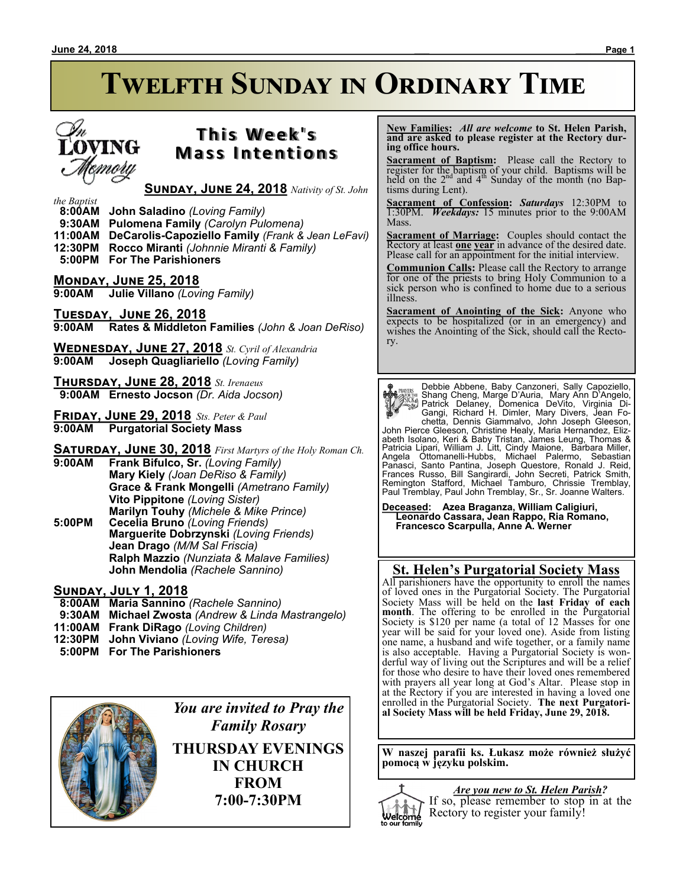### **June 24, 2018 \_\_\_ \_\_\_\_\_\_Page 1**

# **T h i s We e k ' s Mass Intentions**

## **Sunday, June 24, 2018** *Nativity of St. John*

### *the Baptist*

- **8:00AM John Saladino** *(Loving Family)*
- **9:30AM Pulomena Family** *(Carolyn Pulomena)*
- **11:00AM DeCarolis-Capoziello Family** *(Frank & Jean LeFavi)*
- **12:30PM Rocco Miranti** *(Johnnie Miranti & Family)*  **5:00PM For The Parishioners**

## **Monday, June 25, 2018**

**9:00AM Julie Villano** *(Loving Family)*

**Tuesday, June 26, 2018 9:00AM Rates & Middleton Families** *(John & Joan DeRiso)*

**Wednesday, June 27, 2018** *St. Cyril of Alexandria* **9:00AM Joseph Quagliariello** *(Loving Family)*

**Thursday, June 28, 2018** *St. Irenaeus*  **9:00AM Ernesto Jocson** *(Dr. Aida Jocson)*

**Friday, June 29, 2018** *Sts. Peter & Paul* **9:00AM Purgatorial Society Mass**

**Saturday, June 30, 2018** *First Martyrs of the Holy Roman Ch.*

- **9:00AM Frank Bifulco, Sr.** *(Loving Family)* **Mary Kiely** *(Joan DeRiso & Family)* **Grace & Frank Mongelli** *(Ametrano Family)* **Vito Pippitone** *(Loving Sister)* **Marilyn Touhy** *(Michele & Mike Prince)*
- **5:00PM Cecelia Bruno** *(Loving Friends)* **Marguerite Dobrzynski** *(Loving Friends)* **Jean Drago** *(M/M Sal Friscia)* **Ralph Mazzio** *(Nunziata & Malave Families)* **John Mendolia** *(Rachele Sannino)*

## **Sunday, July 1, 2018**

- **8:00AM Maria Sannino** *(Rachele Sannino)*
- **9:30AM Michael Zwosta** *(Andrew & Linda Mastrangelo)*
- **11:00AM Frank DiRago** *(Loving Children)*
- **12:30PM John Viviano** *(Loving Wife, Teresa)*
- **5:00PM For The Parishioners**



*You are invited to Pray the Family Rosary* **THURSDAY EVENINGS IN CHURCH FROM**

**7:00-7:30PM**

 **New Families:** *All are welcome* **to St. Helen Parish, and are asked to please register at the Rectory during office hours.**

**Sacrament of Baptism:**Please call the Rectory to register for the baptism of your child. Baptisms will be held on the  $2<sup>nd</sup>$  and  $4<sup>th</sup>$  Sunday of the month (no Baptisms during Lent).

**Sacrament of Confession:** *Saturdays* 12:30PM to 1:30PM. *Weekdays:* 15 minutes prior to the 9:00AM Mass.

**Sacrament of Marriage:**Couples should contact the Rectory at least **one year** in advance of the desired date. Please call for an appointment for the initial interview.

**Communion Calls:** Please call the Rectory to arrange for one of the priests to bring Holy Communion to a sick person who is confined to home due to a serious illness.

**Sacrament of Anointing of the Sick:** Anyone who expects to be hospitalized (or in an emergency) and wishes the Anointing of the Sick, should call the Rectory.

Debbie Abbene, Baby Canzoneri, Sally Capoziello,<br>
Shamp Cheng, Marge D'Auria, Mary Ann D'Angelo,<br>
Patrick Delany, Domenica DeVito, Virginia Di-<br>
Cangi, Richard H. Dimler, Mary Divers, Jean Fo-<br>
chetta, Dennis Giammalvo, Jo

**Deceased: Azea Braganza, William Caligiuri, Leonardo Cassara, Jean Rappo, Ria Romano, Francesco Scarpulla, Anne A. Werner**

## **St. Helen's Purgatorial Society Mass**

All parishioners have the opportunity to enroll the names of loved ones in the Purgatorial Society. The Purgatorial Society Mass will be held on the **last Friday of each month**. The offering to be enrolled in the Purgatorial Society is \$120 per name (a total of 12 Masses for one year will be said for your loved one). Aside from listing one name, a husband and wife together, or a family name is also acceptable. Having a Purgatorial Society is wonderful way of living out the Scriptures and will be a relief for those who desire to have their loved ones remembered with prayers all year long at God's Altar. Please stop in at the Rectory if you are interested in having a loved one enrolled in the Purgatorial Society. **The next Purgatorial Society Mass will be held Friday, June 29, 2018.**

**W naszej parafii ks. Łukasz może również służyć pomocą w języku polskim.** 



*Are you new to St. Helen Parish?* If so, please remember to stop in at the Rectory to register your family!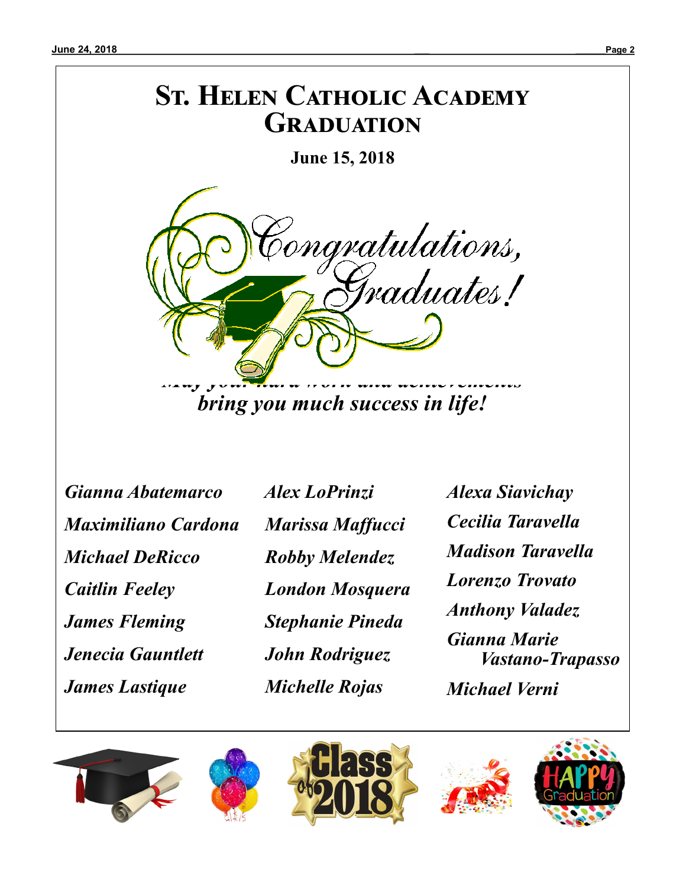# **St. Helen Catholic Academy Graduation**

**June 15, 2018**



*bring you much success in life!*

*Gianna Abatemarco Maximiliano Cardona Michael DeRicco Caitlin Feeley James Fleming Jenecia Gauntlett James Lastique*

 *Alex LoPrinzi Marissa Maffucci Robby Melendez London Mosquera Stephanie Pineda John Rodriguez Michelle Rojas*

*Alexa Siavichay Cecilia Taravella Madison Taravella Lorenzo Trovato Anthony Valadez Gianna Marie Vastano-Trapasso Michael Verni*







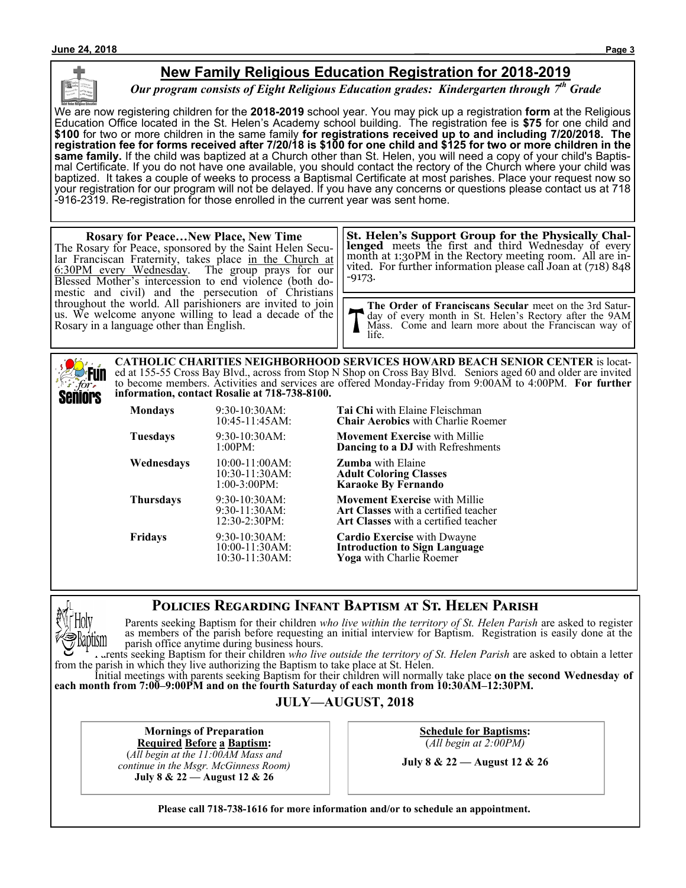## **New Family Religious Education Registration for 2018-2019**

*Our program consists of Eight Religious Education grades: Kindergarten through 7th Grade*

We are now registering children for the **2018-2019** school year. You may pick up a registration **form** at the Religious Education Office located in the St. Helen's Academy school building. The registration fee is **\$75** for one child and **\$100** for two or more children in the same family **for registrations received up to and including 7/20/2018. The registration fee for forms received after 7/20/18 is \$100 for one child and \$125 for two or more children in the same family.** If the child was baptized at a Church other than St. Helen, you will need a copy of your child's Baptismal Certificate. If you do not have one available, you should contact the rectory of the Church where your child was baptized. It takes a couple of weeks to process a Baptismal Certificate at most parishes. Place your request now so your registration for our program will not be delayed. If you have any concerns or questions please contact us at 718 -916-2319. Re-registration for those enrolled in the current year was sent home.

#### **Rosary for Peace…New Place, New Time** The Rosary for Peace, sponsored by the Saint Helen Secular Franciscan Fraternity, takes place in the Church at 6:30PM every Wednesday. The group prays for our Blessed Mother's intercession to end violence (both domestic and civil) and the persecution of Christians throughout the world. All parishioners are invited to join us. We welcome anyone willing to lead a decade of the Rosary in a language other than English. **The Order of Franciscans Secular** meet on the 3rd Saturday of every month in St. Helen's Rectory after the 9AM Mass. Come and learn more about the Franciscan way of life. **St. Helen's Support Group for the Physically Challenged** meets the first and third Wednesday of every month at 1:30PM in the Rectory meeting room. All are invited. For further information please call Joan at (718) 848 -9173.

**CATHOLIC CHARITIES NEIGHBORHOOD SERVICES HOWARD BEACH SENIOR CENTER** is located at 155-55 Cross Bay Blvd., across from Stop N Shop on Cross Bay Blvd. Seniors aged 60 and older are invited **Fun** to become members. Activities and services are offered Monday-Friday from 9:00AM to 4:00PM. **For further information, contact Rosalie at 718-738-8100.** Seniors

| Mondays    | 9:30-10:30AM:<br>10:45-11:45AM:                           | <b>Tai Chi</b> with Elaine Fleischman<br><b>Chair Aerobics</b> with Charlie Roemer                                                 |
|------------|-----------------------------------------------------------|------------------------------------------------------------------------------------------------------------------------------------|
| Tuesdays   | $9:30-10:30AM$ :<br>1:00PM:                               | <b>Movement Exercise</b> with Millie<br><b>Dancing to a DJ</b> with Refreshments                                                   |
| Wednesdays | $10:00-11:00AM$ :<br>$10:30-11:30AM$ :<br>$1:00-3:00PM$ : | <b>Zumba</b> with Elaine<br><b>Adult Coloring Classes</b><br><b>Karaoke By Fernando</b>                                            |
| Thursdays  | 9:30-10:30AM:<br>$9:30-11:30AM$ :<br>12:30-2:30PM:        | <b>Movement Exercise</b> with Millie<br><b>Art Classes</b> with a certified teacher<br><b>Art Classes</b> with a certified teacher |
| Fridays    | 9:30-10:30AM:<br>10:00-11:30AM:<br>10:30-11:30AM:         | <b>Cardio Exercise</b> with Dwayne<br><b>Introduction to Sign Language</b><br>Yoga with Charlie Roemer                             |

## **Policies Regarding Infant Baptism at St. Helen Parish**



for.

Parents seeking Baptism for their children *who live within the territory of St. Helen Parish* are asked to register as members of the parish before requesting an initial interview for Baptism. Registration is easily done at the parish office anytime during business hours.

Parents seeking Baptism for their children *who live outside the territory of St. Helen Parish* are asked to obtain a letter from the parish in which they live authorizing the Baptism to take place at St. Helen.

Initial meetings with parents seeking Baptism for their children will normally take place **on the second Wednesday of each month from 7:00–9:00PM and on the fourth Saturday of each month from 10:30AM–12:30PM.**

### **JULY—AUGUST, 2018**

**Mornings of Preparation Required Before a Baptism:**

(*All begin at the 11:00AM Mass and continue in the Msgr. McGinness Room)* **July 8 & 22 — August 12 & 26**

**Schedule for Baptisms:** (*All begin at 2:00PM)*

**July 8 & 22 — August 12 & 26**

**Please call 718-738-1616 for more information and/or to schedule an appointment.**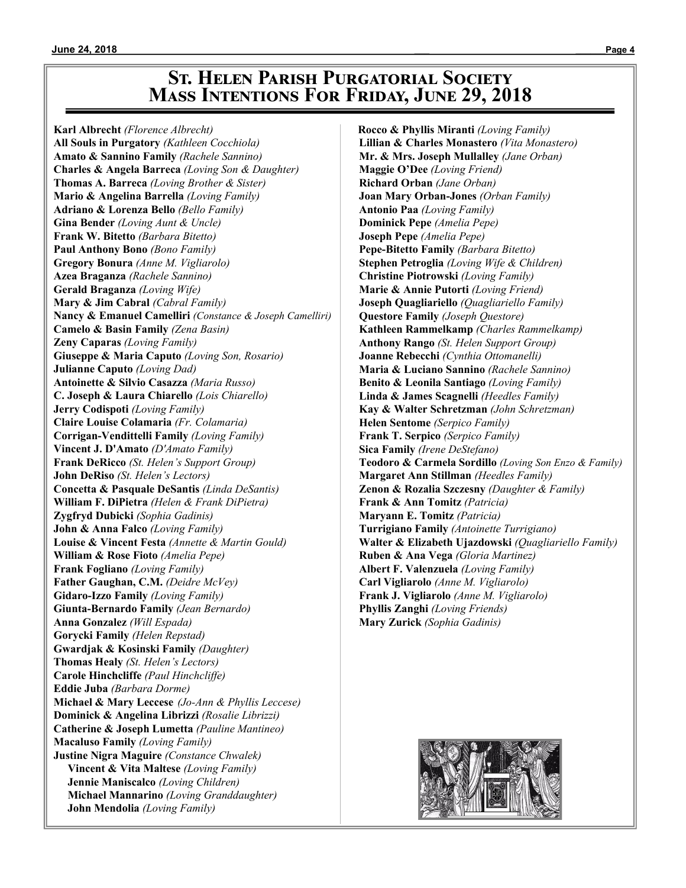## **St. Helen Parish Purgatorial Society Mass Intentions For Friday, June 29, 2018**

**Karl Albrecht** *(Florence Albrecht)* **All Souls in Purgatory** *(Kathleen Cocchiola)* **Amato & Sannino Family** *(Rachele Sannino)* **Charles & Angela Barreca** *(Loving Son & Daughter)* **Thomas A. Barreca** *(Loving Brother & Sister)* **Mario & Angelina Barrella** *(Loving Family)* **Adriano & Lorenza Bello** *(Bello Family)* **Gina Bender** *(Loving Aunt & Uncle)* **Frank W. Bitetto** *(Barbara Bitetto)* **Paul Anthony Bono** *(Bono Family)* **Gregory Bonura** *(Anne M. Vigliarolo)* **Azea Braganza** *(Rachele Sannino)* **Gerald Braganza** *(Loving Wife)* **Mary & Jim Cabral** *(Cabral Family)* **Nancy & Emanuel Camelliri** *(Constance & Joseph Camelliri)* **Camelo & Basin Family** *(Zena Basin)* **Zeny Caparas** *(Loving Family)* **Giuseppe & Maria Caputo** *(Loving Son, Rosario)* **Julianne Caputo** *(Loving Dad)* **Antoinette & Silvio Casazza** *(Maria Russo)* **C. Joseph & Laura Chiarello** *(Lois Chiarello)* **Jerry Codispoti** *(Loving Family)* **Claire Louise Colamaria** *(Fr. Colamaria)* **Corrigan-Vendittelli Family** *(Loving Family)* **Vincent J. D'Amato** *(D'Amato Family)* **Frank DeRicco** *(St. Helen's Support Group)* **John DeRiso** *(St. Helen's Lectors)* **Concetta & Pasquale DeSantis** *(Linda DeSantis)* **William F. DiPietra** *(Helen & Frank DiPietra)* **Zygfryd Dubicki** *(Sophia Gadinis)* **John & Anna Falco** *(Loving Family)* **Louise & Vincent Festa** *(Annette & Martin Gould)* **William & Rose Fioto** *(Amelia Pepe)* **Frank Fogliano** *(Loving Family)* **Father Gaughan, C.M.** *(Deidre McVey)* **Gidaro-Izzo Family** *(Loving Family)* **Giunta-Bernardo Family** *(Jean Bernardo)* **Anna Gonzalez** *(Will Espada)* **Gorycki Family** *(Helen Repstad)* **Gwardjak & Kosinski Family** *(Daughter)* **Thomas Healy** *(St. Helen's Lectors)* **Carole Hinchcliffe** *(Paul Hinchcliffe)* **Eddie Juba** *(Barbara Dorme)* **Michael & Mary Leccese** *(Jo-Ann & Phyllis Leccese)* **Dominick & Angelina Librizzi** *(Rosalie Librizzi)* **Catherine & Joseph Lumetta** *(Pauline Mantineo)* **Macaluso Family** *(Loving Family)* **Justine Nigra Maguire** *(Constance Chwalek)* **Vincent & Vita Maltese** *(Loving Family)* **Jennie Maniscalco** *(Loving Children)* **Michael Mannarino** *(Loving Granddaughter)*  **John Mendolia** *(Loving Family)*

 **Rocco & Phyllis Miranti** *(Loving Family)* **Lillian & Charles Monastero** *(Vita Monastero)* **Mr. & Mrs. Joseph Mullalley** *(Jane Orban)* **Maggie O'Dee** *(Loving Friend)* **Richard Orban** *(Jane Orban)* **Joan Mary Orban-Jones** *(Orban Family)* **Antonio Paa** *(Loving Family)* **Dominick Pepe** *(Amelia Pepe)* **Joseph Pepe** *(Amelia Pepe)* **Pepe-Bitetto Family** *(Barbara Bitetto)* **Stephen Petroglia** *(Loving Wife & Children)* **Christine Piotrowski** *(Loving Family)* **Marie & Annie Putorti** *(Loving Friend)* **Joseph Quagliariello** *(Quagliariello Family)* **Questore Family** *(Joseph Questore)* **Kathleen Rammelkamp** *(Charles Rammelkamp)* **Anthony Rango** *(St. Helen Support Group)* **Joanne Rebecchi** *(Cynthia Ottomanelli)* **Maria & Luciano Sannino** *(Rachele Sannino)* **Benito & Leonila Santiago** *(Loving Family)* **Linda & James Scagnelli** *(Heedles Family)* **Kay & Walter Schretzman** *(John Schretzman)* **Helen Sentome** *(Serpico Family)* **Frank T. Serpico** *(Serpico Family)* **Sica Family** *(Irene DeStefano)* **Teodoro & Carmela Sordillo** *(Loving Son Enzo & Family)* **Margaret Ann Stillman** *(Heedles Family)* **Zenon & Rozalia Szczesny** *(Daughter & Family)* **Frank & Ann Tomitz** *(Patricia)* **Maryann E. Tomitz** *(Patricia)* **Turrigiano Family** *(Antoinette Turrigiano)* **Walter & Elizabeth Ujazdowski** *(Quagliariello Family)* **Ruben & Ana Vega** *(Gloria Martinez)* **Albert F. Valenzuela** *(Loving Family)* **Carl Vigliarolo** *(Anne M. Vigliarolo)* **Frank J. Vigliarolo** *(Anne M. Vigliarolo)* **Phyllis Zanghi** *(Loving Friends)* **Mary Zurick** *(Sophia Gadinis)*